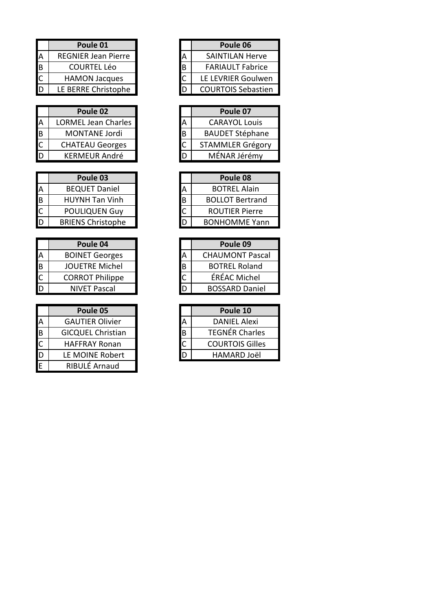|   | Poule 01                   |   |
|---|----------------------------|---|
| Ά | <b>REGNIER Jean Pierre</b> |   |
| B | <b>COURTEL Léo</b>         | В |
|   | <b>HAMON Jacques</b>       |   |
| D | LE BERRE Christophe        |   |

|    | Poule 02                   |   |
|----|----------------------------|---|
|    | <b>LORMEL Jean Charles</b> |   |
| IΒ | <b>MONTANE Jordi</b>       | В |
|    | <b>CHATEAU Georges</b>     |   |
|    | <b>KERMEUR André</b>       |   |

|   | Poule 03                 |   |
|---|--------------------------|---|
| А | <b>BEQUET Daniel</b>     |   |
| B | <b>HUYNH Tan Vinh</b>    | В |
|   | <b>POULIQUEN Guy</b>     |   |
| D | <b>BRIENS Christophe</b> |   |

|   | Poule 04               |   |
|---|------------------------|---|
| Α | <b>BOINET Georges</b>  |   |
| B | <b>JOUETRE Michel</b>  | В |
|   | <b>CORROT Philippe</b> |   |
|   | <b>NIVET Pascal</b>    |   |

|   | Poule 05                 |   |
|---|--------------------------|---|
| А | <b>GAUTIER Olivier</b>   |   |
| B | <b>GICQUEL Christian</b> | Β |
|   | <b>HAFFRAY Ronan</b>     |   |
| D | LE MOINE Robert          |   |
|   | RIBULÉ Arnaud            |   |

| Poule 01                   |   | Poule 06                  |
|----------------------------|---|---------------------------|
| <b>REGNIER Jean Pierre</b> | А | <b>SAINTILAN Herve</b>    |
| <b>COURTEL Léo</b>         | B | <b>FARIAULT Fabrice</b>   |
| <b>HAMON Jacques</b>       |   | LE LEVRIER Goulwen        |
| LE BERRE Christophe        |   | <b>COURTOIS Sebastien</b> |

|   | Poule 07                |
|---|-------------------------|
|   | <b>CARAYOL Louis</b>    |
| В | <b>BAUDET Stéphane</b>  |
|   | <b>STAMMLER Grégory</b> |
|   | MÉNAR Jérémy            |
|   |                         |

| Poule 03                 |   | Poule 08               |
|--------------------------|---|------------------------|
| <b>BEQUET Daniel</b>     | А | <b>BOTREL Alain</b>    |
| <b>HUYNH Tan Vinh</b>    | B | <b>BOLLOT Bertrand</b> |
| POULIQUEN Guy            |   | <b>ROUTIER Pierre</b>  |
| <b>BRIENS Christophe</b> |   | <b>BONHOMME Yann</b>   |

| Poule 04               |   |   | Poule 09               |
|------------------------|---|---|------------------------|
| <b>BOINET Georges</b>  |   | А | <b>CHAUMONT Pascal</b> |
| <b>JOUETRE Michel</b>  | B |   | <b>BOTREL Roland</b>   |
| <b>CORROT Philippe</b> |   |   | ÉRÉAC Michel           |
| <b>NIVET Pascal</b>    |   | D | <b>BOSSARD Daniel</b>  |

| Poule 05                 |   | Poule 10               |
|--------------------------|---|------------------------|
| <b>GAUTIER Olivier</b>   |   | <b>DANIEL Alexi</b>    |
| <b>GICQUEL Christian</b> | B | <b>TEGNÉR Charles</b>  |
| <b>HAFFRAY Ronan</b>     |   | <b>COURTOIS Gilles</b> |
| LE MOINE Robert          |   | HAMARD Joël            |